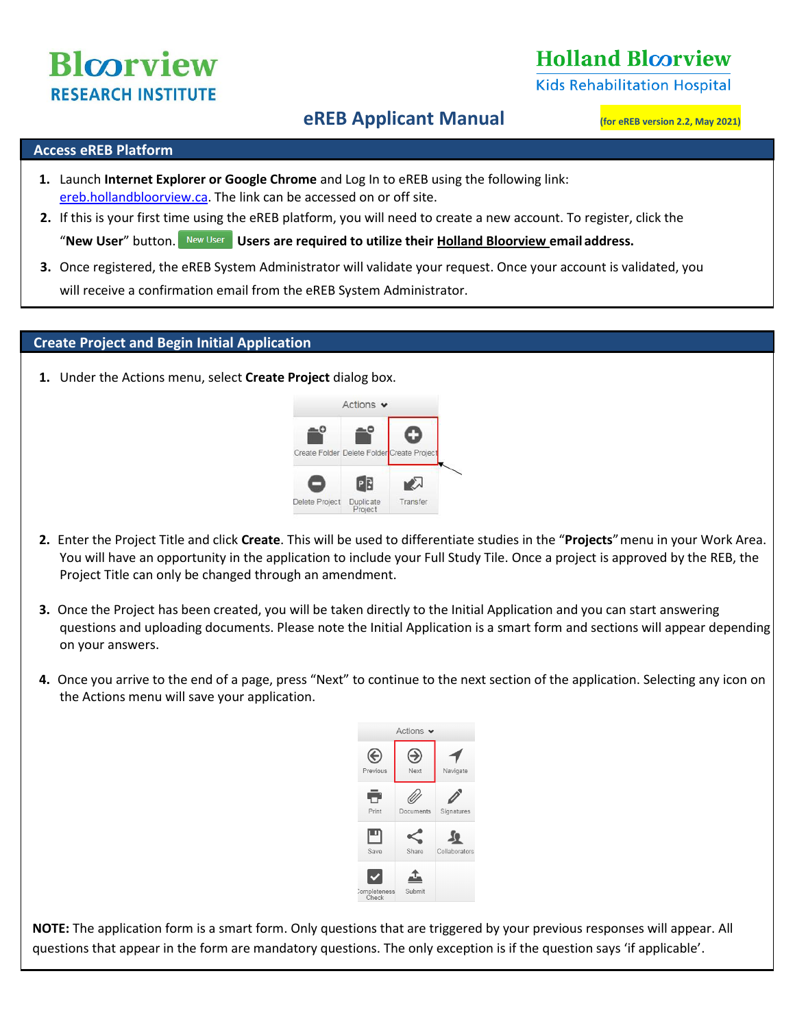# **Blcorview RESEARCH INSTITUTE**

## **Holland Bloorview**

**Kids Rehabilitation Hospital** 

### **eREB Applicant Manual (for eREB version 2.2, May 2021)**

#### **Access eREB Platform**

- **1.** Launch **Internet Explorer or Google Chrome** and Log In to eREB using the following link: [ereb.hollandbloorview.ca.](http://ereb.hollandbloorview.ca/) The link can be accessed on or off site.
- **2.** If this is your first time using the eREB platform, you will need to create a new account. To register, click the "**New User**" button. **Users are required to utilize their Holland Bloorview email address.**
- **3.** Once registered, the eREB System Administrator will validate your request. Once your account is validated, you will receive a confirmation email from the eREB System Administrator.

#### **Create Project and Begin Initial Application**

**1.** Under the Actions menu, select **Create Project** dialog box.



- **2.** Enter the Project Title and click **Create**. This will be used to differentiate studies in the "**Projects**"menu in your Work Area. You will have an opportunity in the application to include your Full Study Tile. Once a project is approved by the REB, the Project Title can only be changed through an amendment.
- **3.** Once the Project has been created, you will be taken directly to the Initial Application and you can start answering questions and uploading documents. Please note the Initial Application is a smart form and sections will appear depending on your answers.
- **4.** Once you arrive to the end of a page, press "Next" to continue to the next section of the application. Selecting any icon on the Actions menu will save your application.



**NOTE:** The application form is a smart form. Only questions that are triggered by your previous responses will appear. All questions that appear in the form are mandatory questions. The only exception is if the question says 'if applicable'.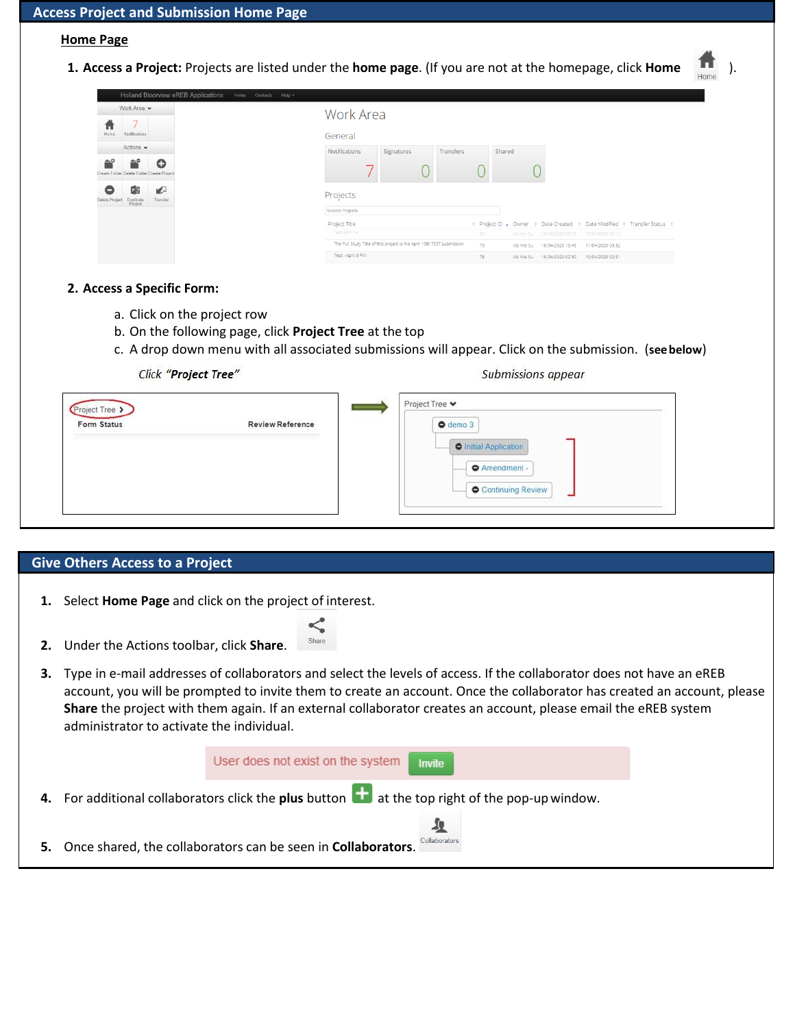#### **Home Page**

**1. Access a Project:** Projects are listed under the **home page**. (If you are not at the homepage, click **Home** ).

| Holland Bloorview eREB Applications<br>Home<br>Contacts Help =       |                                                                                                                                   |
|----------------------------------------------------------------------|-----------------------------------------------------------------------------------------------------------------------------------|
| Work Area v                                                          | Work Area                                                                                                                         |
| п<br>Home<br><b>Notifications</b>                                    | General                                                                                                                           |
| Actions $\blacktriangleright$                                        | <b>Notifications</b><br>Shared<br>Signatures<br>Transfers                                                                         |
| —ິດ<br>≕<br>O<br>Create Folder Delete Folder Create Project          |                                                                                                                                   |
| ▶<br>PB<br>Duplicate<br>Project<br>Transfer<br><b>Delete Project</b> | Projects                                                                                                                          |
|                                                                      | Search Projects                                                                                                                   |
|                                                                      | Project Title<br>♦ Project ID • Owner ♦ Date Created • Date Modified • Transfer Status •                                          |
|                                                                      | Test April 14<br>80<br>Ms Wei Su 15/04/2020 03:12<br>15/04/2020 03:12                                                             |
|                                                                      | The Full Study Title of this project is the April 10th TEST submission<br>79<br>10/04/2020 19:45<br>11/04/2020 03:32<br>Ms Wei Su |
|                                                                      | Test - April 9 PM<br>78<br>10/04/2020 02:50<br>10/04/2020 02:51<br>Ms Wei Su                                                      |

#### **2. Access a Specific Form:**

- a. Click on the project row
- b. On the following page, click **Project Tree** at the top
- c. A drop down menu with all associated submissions will appear. Click on the submission. (**seebelow**)

Click "Project Tree"

#### Submissions appear

| Project Tree ><br><b>Form Status</b> | <b>Review Reference</b> | $\bullet$ demo $3$                        |
|--------------------------------------|-------------------------|-------------------------------------------|
|                                      |                         | <b>O</b> Initial Application              |
|                                      |                         | Amendment -<br><b>O</b> Continuing Review |
|                                      |                         |                                           |

#### **Give Others Access to a Project**

**1.** Select **Home Page** and click on the project of interest.

**2.** Under the Actions toolbar, click **Share**.

- Share
- **3.** Type in e-mail addresses of collaborators and select the levels of access. If the collaborator does not have an eREB account, you will be prompted to invite them to create an account. Once the collaborator has created an account, please **Share** the project with them again. If an external collaborator creates an account, please email the eREB system administrator to activate the individual.

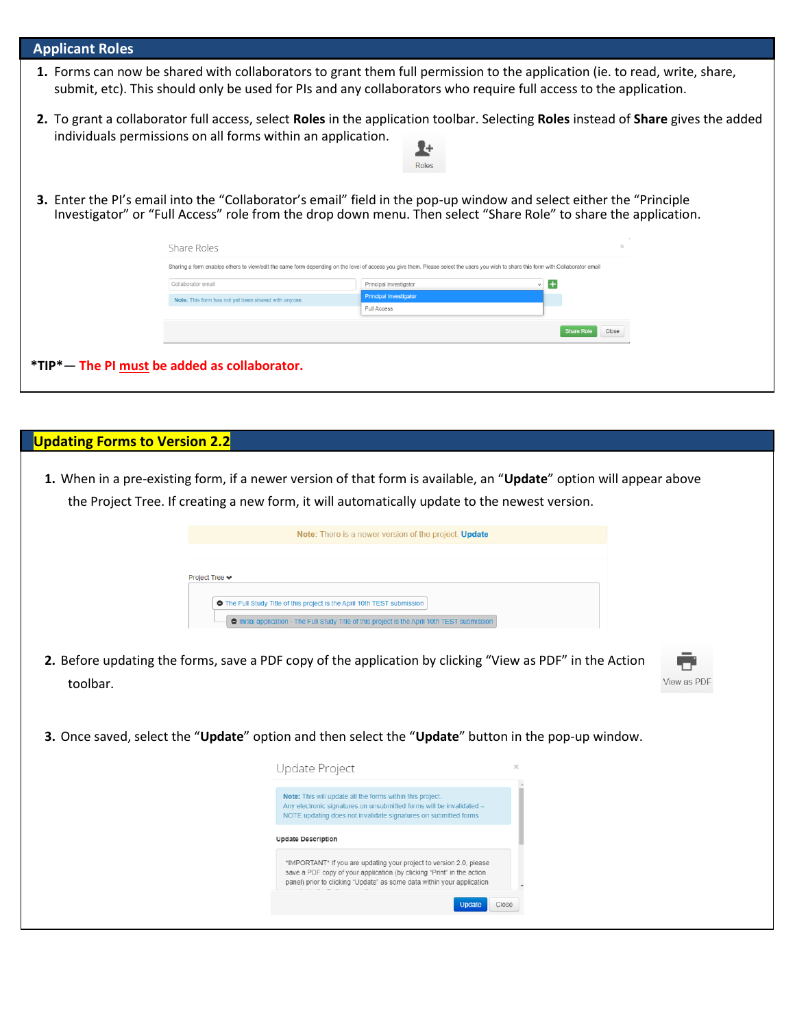| <b>Applicant Roles</b>                                                                                                                                                               |                                                                                                                                                                                                                                        |                                                                                                                                                                                                                                                |                            |  |  |  |
|--------------------------------------------------------------------------------------------------------------------------------------------------------------------------------------|----------------------------------------------------------------------------------------------------------------------------------------------------------------------------------------------------------------------------------------|------------------------------------------------------------------------------------------------------------------------------------------------------------------------------------------------------------------------------------------------|----------------------------|--|--|--|
|                                                                                                                                                                                      |                                                                                                                                                                                                                                        | 1. Forms can now be shared with collaborators to grant them full permission to the application (ie. to read, write, share,<br>submit, etc). This should only be used for PIs and any collaborators who require full access to the application. |                            |  |  |  |
|                                                                                                                                                                                      | individuals permissions on all forms within an application.                                                                                                                                                                            | 2. To grant a collaborator full access, select Roles in the application toolbar. Selecting Roles instead of Share gives the added<br>7+<br>Roles                                                                                               |                            |  |  |  |
|                                                                                                                                                                                      | 3. Enter the PI's email into the "Collaborator's email" field in the pop-up window and select either the "Principle<br>Investigator" or "Full Access" role from the drop down menu. Then select "Share Role" to share the application. |                                                                                                                                                                                                                                                |                            |  |  |  |
| Share Roles                                                                                                                                                                          |                                                                                                                                                                                                                                        |                                                                                                                                                                                                                                                |                            |  |  |  |
| Sharing a form enables others to view/edit the same form depending on the level of access you give them. Please select the users you wish to share this form with:Collaborator email |                                                                                                                                                                                                                                        |                                                                                                                                                                                                                                                |                            |  |  |  |
| Collaborator email                                                                                                                                                                   |                                                                                                                                                                                                                                        | Principal Investigator                                                                                                                                                                                                                         | +                          |  |  |  |
|                                                                                                                                                                                      | Note: This form has not yet been shared with anyone                                                                                                                                                                                    | <b>Principal Investigator</b>                                                                                                                                                                                                                  |                            |  |  |  |
|                                                                                                                                                                                      |                                                                                                                                                                                                                                        | <b>Full Access</b>                                                                                                                                                                                                                             |                            |  |  |  |
|                                                                                                                                                                                      |                                                                                                                                                                                                                                        |                                                                                                                                                                                                                                                | <b>Share Role</b><br>Close |  |  |  |
|                                                                                                                                                                                      | *TIP*- The PI must be added as collaborator.                                                                                                                                                                                           |                                                                                                                                                                                                                                                |                            |  |  |  |

| <b>Updating Forms to Version 2.2</b> |                                                                                                                                                                                                                                                                                                                                                                                           |             |
|--------------------------------------|-------------------------------------------------------------------------------------------------------------------------------------------------------------------------------------------------------------------------------------------------------------------------------------------------------------------------------------------------------------------------------------------|-------------|
|                                      | 1. When in a pre-existing form, if a newer version of that form is available, an "Update" option will appear above<br>the Project Tree. If creating a new form, it will automatically update to the newest version.                                                                                                                                                                       |             |
|                                      | <b>Note:</b> There is a newer version of the project. <b>Update</b>                                                                                                                                                                                                                                                                                                                       |             |
| Project Tree ♥<br>toolbar.           | The Full Study Title of this project is the April 10th TEST submission<br>Initial application - The Full Study Title of this project is the April 10th TEST submission<br>2. Before updating the forms, save a PDF copy of the application by clicking "View as PDF" in the Action<br>3. Once saved, select the "Update" option and then select the "Update" button in the pop-up window. | View as PDF |
|                                      | Update Project                                                                                                                                                                                                                                                                                                                                                                            |             |
|                                      | Note: This will update all the forms within this project.<br>Any electronic signatures on unsubmitted forms will be invalidated -<br>NOTE updating does not invalidate signatures on submitted forms                                                                                                                                                                                      |             |
|                                      | <b>Update Description</b>                                                                                                                                                                                                                                                                                                                                                                 |             |
|                                      | *IMPORTANT* If you are updating your project to version 2.0, please<br>save a PDF copy of your application (by clicking "Print" in the action<br>panel) prior to clicking "Update" as some data within your application                                                                                                                                                                   |             |
|                                      | Close<br><b>Update</b>                                                                                                                                                                                                                                                                                                                                                                    |             |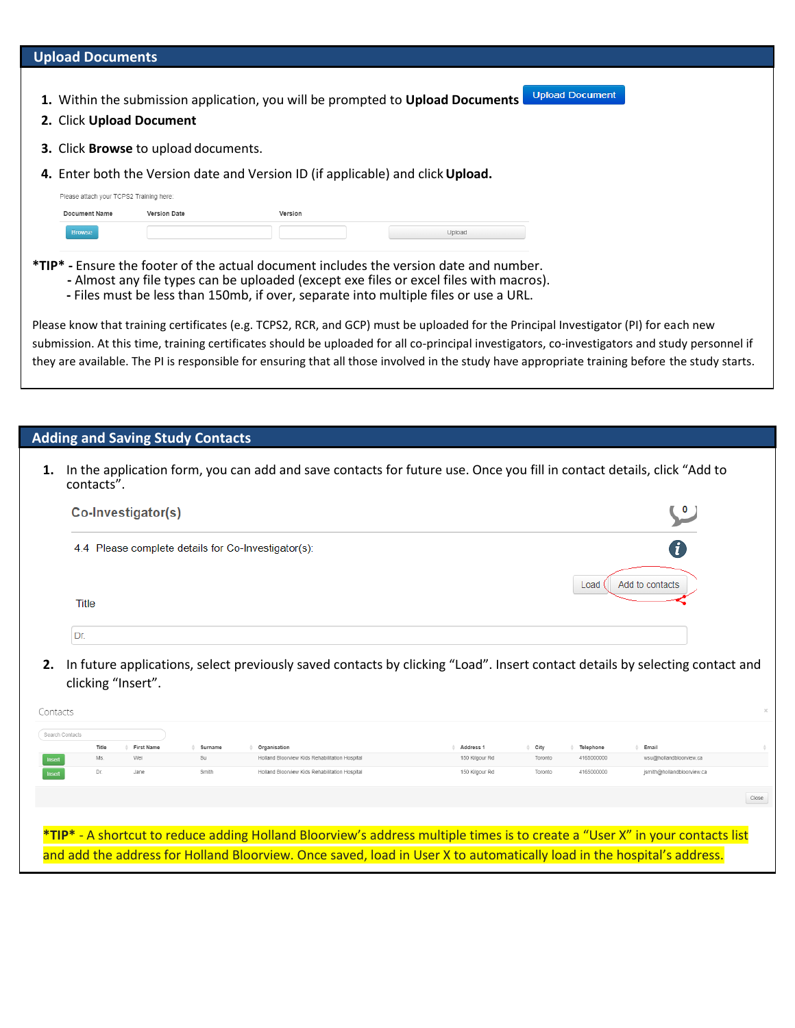#### **Upload Documents**

- **1.** Within the submission application, you will be prompted to **Upload Documents**
- **2.** Click **Upload Document**
- **3.** Click **Browse** to upload documents.
- **4.** Enter both the Version date and Version ID (if applicable) and click**Upload.**

| Please attach your TCPS2 Training here: |              |         |        |
|-----------------------------------------|--------------|---------|--------|
| Document Name                           | Version Date | Version |        |
| <b>Browse</b>                           |              |         | Upload |

- **\*TIP\* -** Ensure the footer of the actual document includes the version date and number.
	- **-** Almost any file types can be uploaded (except exe files or excel files with macros).
	- **-** Files must be less than 150mb, if over, separate into multiple files or use a URL.

Please know that training certificates (e.g. TCPS2, RCR, and GCP) must be uploaded for the Principal Investigator (PI) for each new submission. At this time, training certificates should be uploaded for all co-principal investigators, co-investigators and study personnel if they are available. The PI is responsible for ensuring that all those involved in the study have appropriate training before the study starts.

**Upload Document** 

#### **Adding and Saving Study Contacts**

**1.** In the application form, you can add and save contacts for future use. Once you fill in contact details, click "Add to contacts".

| Co-Investigator(s)                                  |                         |
|-----------------------------------------------------|-------------------------|
| 4.4 Please complete details for Co-Investigator(s): |                         |
|                                                     | Add to contacts<br>Load |
| Title                                               |                         |
| Dr.                                                 |                         |

**2.** In future applications, select previously saved contacts by clicking "Load". Insert contact details by selecting contact and clicking "Insert".

| Contacts        |       |                   |         |                                                                                                                              |                |         |            |                            | $\mathcal{H}$ |
|-----------------|-------|-------------------|---------|------------------------------------------------------------------------------------------------------------------------------|----------------|---------|------------|----------------------------|---------------|
| Search Contacts |       |                   |         |                                                                                                                              |                |         |            |                            |               |
|                 | Title | <b>First Name</b> | Surname | Organisation                                                                                                                 | Address 1      | City    | Telephone  | Email                      |               |
| Insert          | Ms.   | Wei               | Su      | Holland Bloorview Kids Rehabilitation Hospital                                                                               | 150 Kilgour Rd | Toronto | 4165000000 | wsu@hollandbloorview.ca    |               |
| Inset           | Dr.   | Jane              | Smith   | Holland Bloorview Kids Rehabilitation Hospital                                                                               | 150 Kilgour Rd | Toronto | 4165000000 | ismith@hollandbloorview.ca |               |
|                 |       |                   |         |                                                                                                                              |                |         |            |                            | Close         |
|                 |       |                   |         |                                                                                                                              |                |         |            |                            |               |
|                 |       |                   |         | *TIP* - A shortcut to reduce adding Holland Bloorview's address multiple times is to create a "User X" in your contacts list |                |         |            |                            |               |
|                 |       |                   |         | and add the address for Holland Bloorview. Once saved, load in User X to automatically load in the hospital's address.       |                |         |            |                            |               |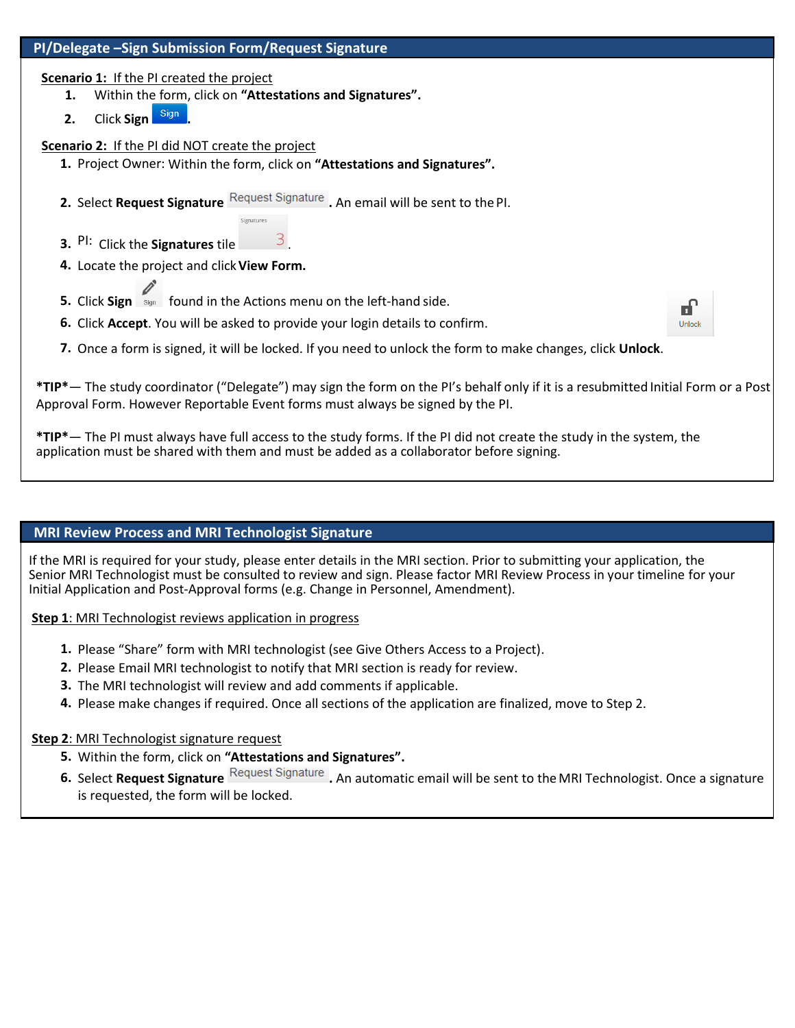

#### **MRI Review Process and MRI Technologist Signature**

If the MRI is required for your study, please enter details in the MRI section. Prior to submitting your application, the Senior MRI Technologist must be consulted to review and sign. Please factor MRI Review Process in your timeline for your Initial Application and Post-Approval forms (e.g. Change in Personnel, Amendment).

 **Step 1**: MRI Technologist reviews application in progress

- **1.** Please "Share" form with MRI technologist (see Give Others Access to a Project).
- **2.** Please Email MRI technologist to notify that MRI section is ready for review.
- **3.** The MRI technologist will review and add comments if applicable.
- **4.** Please make changes if required. Once all sections of the application are finalized, move to Step 2.

#### **Step 2**: MRI Technologist signature request

- **5.** Within the form, click on **"Attestations and Signatures".**
- **6.** Select **Request Signature** Request Signature . An automatic email will be sent to the MRI Technologist. Once a signature is requested, the form will be locked.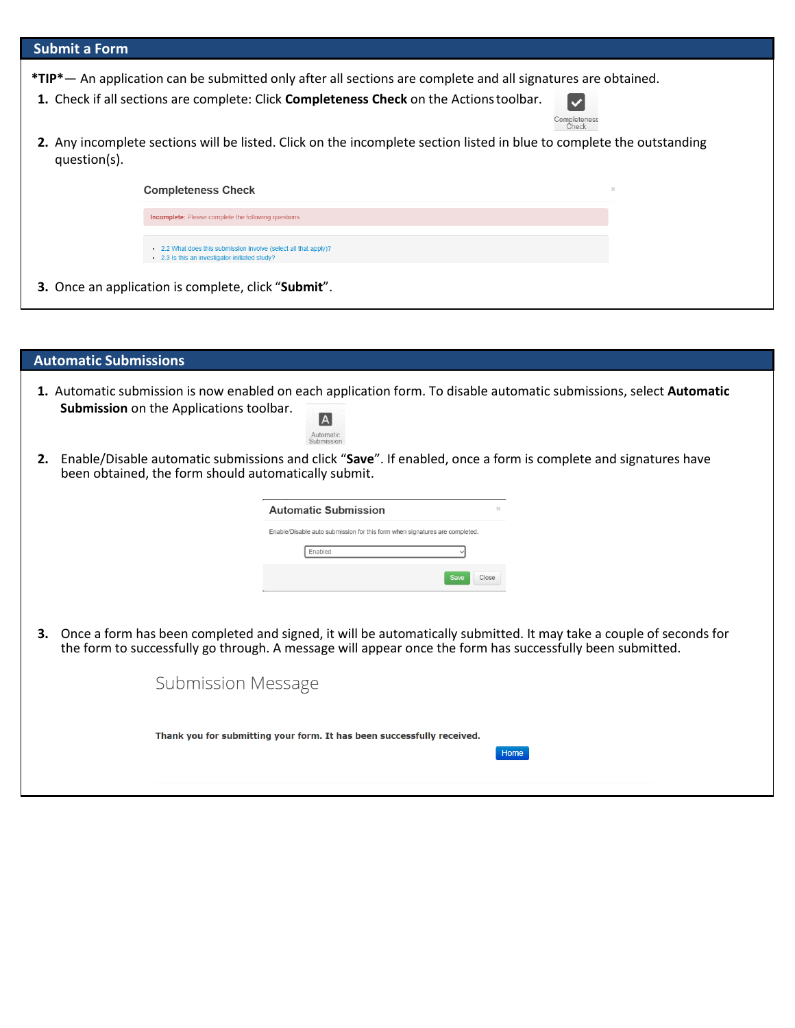| <b>Submit a Form</b>                                                                                                                                                                                                                                                     |  |
|--------------------------------------------------------------------------------------------------------------------------------------------------------------------------------------------------------------------------------------------------------------------------|--|
| <b>*TIP*</b> — An application can be submitted only after all sections are complete and all signatures are obtained.<br>1. Check if all sections are complete: Click <b>Completeness Check</b> on the Actions toolbar.<br>$\blacktriangleright$<br>Completeness<br>Check |  |
| 2. Any incomplete sections will be listed. Click on the incomplete section listed in blue to complete the outstanding<br>question(s).                                                                                                                                    |  |
| <b>Completeness Check</b><br>$>$                                                                                                                                                                                                                                         |  |
| Incomplete: Please complete the following questions                                                                                                                                                                                                                      |  |
| • 2.2 What does this submission involve (select all that apply)?<br>• 2.3 Is this an investigator-initiated study?                                                                                                                                                       |  |
| <b>3.</b> Once an application is complete, click "Submit".                                                                                                                                                                                                               |  |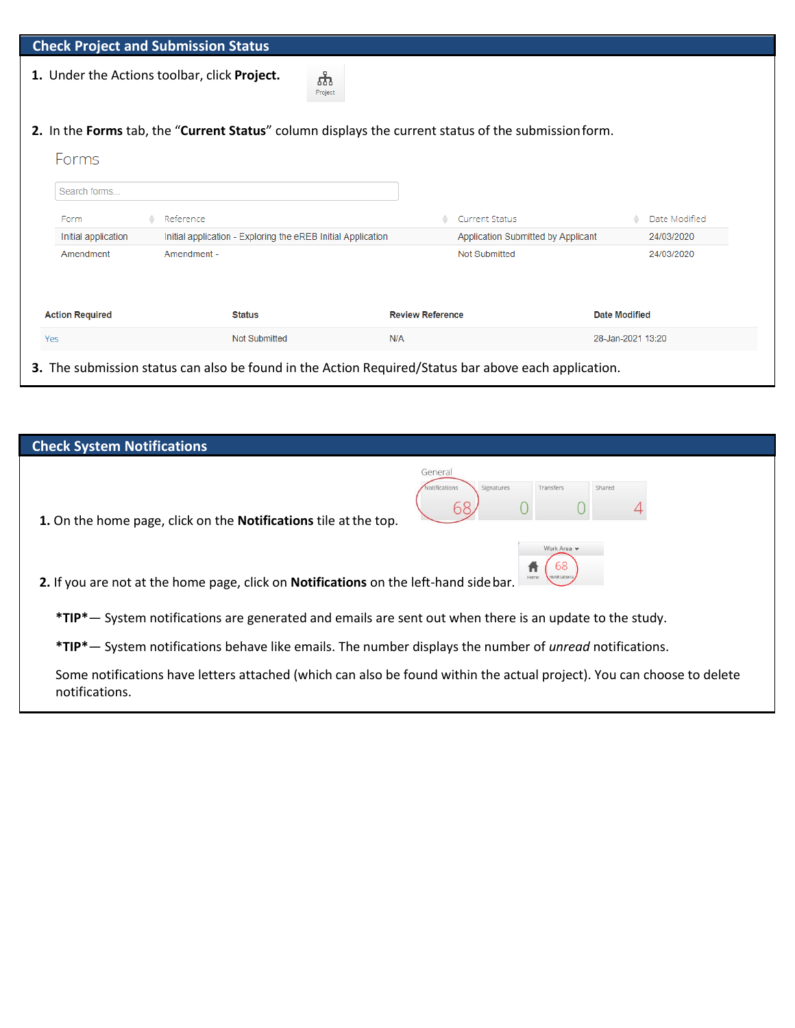|                        | <b>Check Project and Submission Status</b>                   |                                                                                                      |                                                  |
|------------------------|--------------------------------------------------------------|------------------------------------------------------------------------------------------------------|--------------------------------------------------|
|                        | 1. Under the Actions toolbar, click Project.                 | ယူ<br>Project                                                                                        |                                                  |
|                        |                                                              | 2. In the Forms tab, the "Current Status" column displays the current status of the submission form. |                                                  |
| Forms                  |                                                              |                                                                                                      |                                                  |
| Search forms           |                                                              |                                                                                                      |                                                  |
| Form                   | Reference                                                    |                                                                                                      | <b>Current Status</b><br>Date Modified           |
| Initial application    | Initial application - Exploring the eREB Initial Application |                                                                                                      | Application Submitted by Applicant<br>24/03/2020 |
| Amendment              | Amendment -                                                  |                                                                                                      | <b>Not Submitted</b><br>24/03/2020               |
|                        |                                                              |                                                                                                      |                                                  |
| <b>Action Required</b> | <b>Status</b>                                                | <b>Review Reference</b>                                                                              | <b>Date Modified</b>                             |
|                        |                                                              | N/A                                                                                                  | 28-Jan-2021 13:20                                |

| <b>Check System Notifications</b>                                                                                       |
|-------------------------------------------------------------------------------------------------------------------------|
| General<br>Signatures<br>Transfers<br>Shared<br>1. On the home page, click on the <b>Notifications</b> tile at the top. |
| Work Area v<br>2. If you are not at the home page, click on Notifications on the left-hand side bar.                    |
| *TIP* - System notifications are generated and emails are sent out when there is an update to the study.                |
| *TIP* - System notifications behave like emails. The number displays the number of <i>unread</i> notifications.         |
| Some notifications have letters attached (which can also be found within the actual project). You can choose to delete  |

notifications.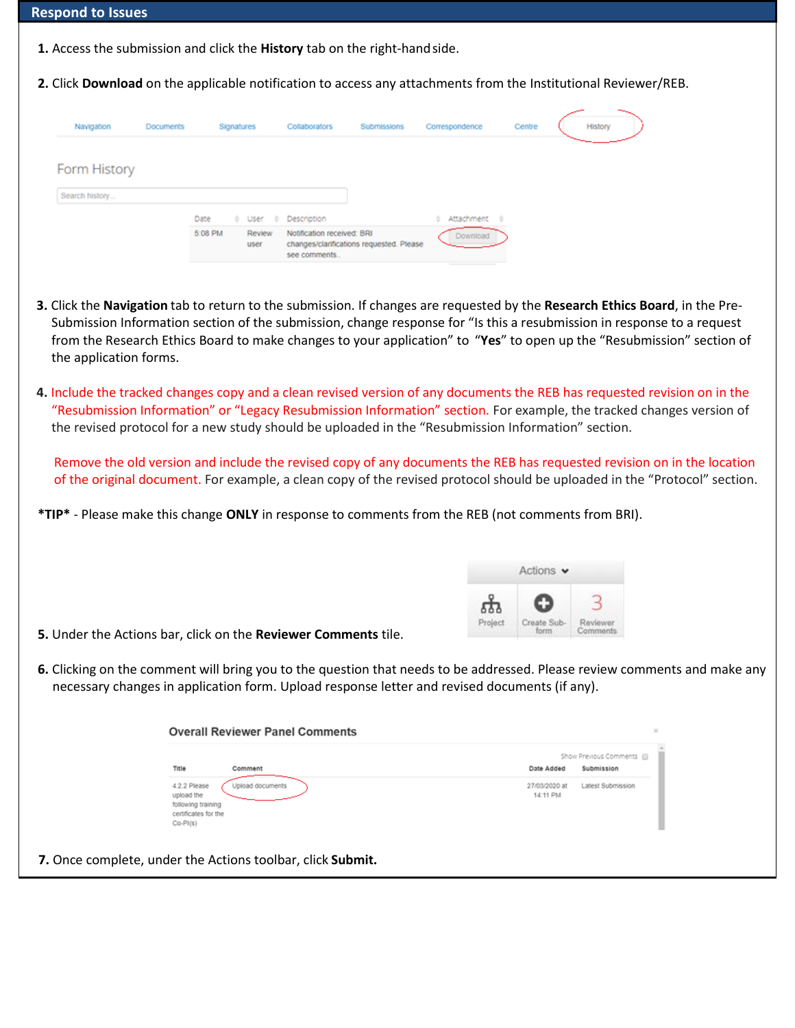| <b>Respond to Issues</b> |  |  |
|--------------------------|--|--|
|--------------------------|--|--|

- **1.** Access the submission and click the **History** tab on the right-handside.
- **2.** Click **Download** on the applicable notification to access any attachments from the Institutional Reviewer/REB.

| Navigation     | Documents |         | Signatures |                | Collaborators                              | Submissions                              | Correspondence                   | Centre | History |
|----------------|-----------|---------|------------|----------------|--------------------------------------------|------------------------------------------|----------------------------------|--------|---------|
| Form History   |           |         |            |                |                                            |                                          |                                  |        |         |
| Search history |           |         |            |                |                                            |                                          |                                  |        |         |
|                |           | Date    | ۰.         | User           | Description                                |                                          | Attachment<br>÷<br>$\rightarrow$ |        |         |
|                |           | 5:08 PM |            | Review<br>user | Notification received: BRI<br>see comments | changes/clarifications requested. Please | Download                         |        |         |

- **3.** Click the **Navigation** tab to return to the submission. If changes are requested by the **Research Ethics Board**, in the Pre-Submission Information section of the submission, change response for "Is this a resubmission in response to a request from the Research Ethics Board to make changes to your application" to "**Yes**" to open up the "Resubmission" section of the application forms.
- **4.** Include the tracked changes copy and a clean revised version of any documents the REB has requested revision on in the "Resubmission Information" or "Legacy Resubmission Information" section. For example, the tracked changes version of the revised protocol for a new study should be uploaded in the "Resubmission Information" section.

Remove the old version and include the revised copy of any documents the REB has requested revision on in the location of the original document. For example, a clean copy of the revised protocol should be uploaded in the "Protocol" section.

**\*TIP\*** - Please make this change **ONLY** in response to comments from the REB (not comments from BRI).



- **5.** Under the Actions bar, click on the **Reviewer Comments** tile.
- **6.** Clicking on the comment will bring you to the question that needs to be addressed. Please review comments and make any necessary changes in application form. Upload response letter and revised documents (if any).

| Title<br>Comment                                                                                           | Show Previous Comments @<br>Date Added<br>Submission |
|------------------------------------------------------------------------------------------------------------|------------------------------------------------------|
| 4.2.2 Please<br>Upload documents<br>upload the<br>following training<br>certificates for the<br>$Co-P1(s)$ | 27/03/2020 at<br>Latest Submission<br>14:11 PM       |